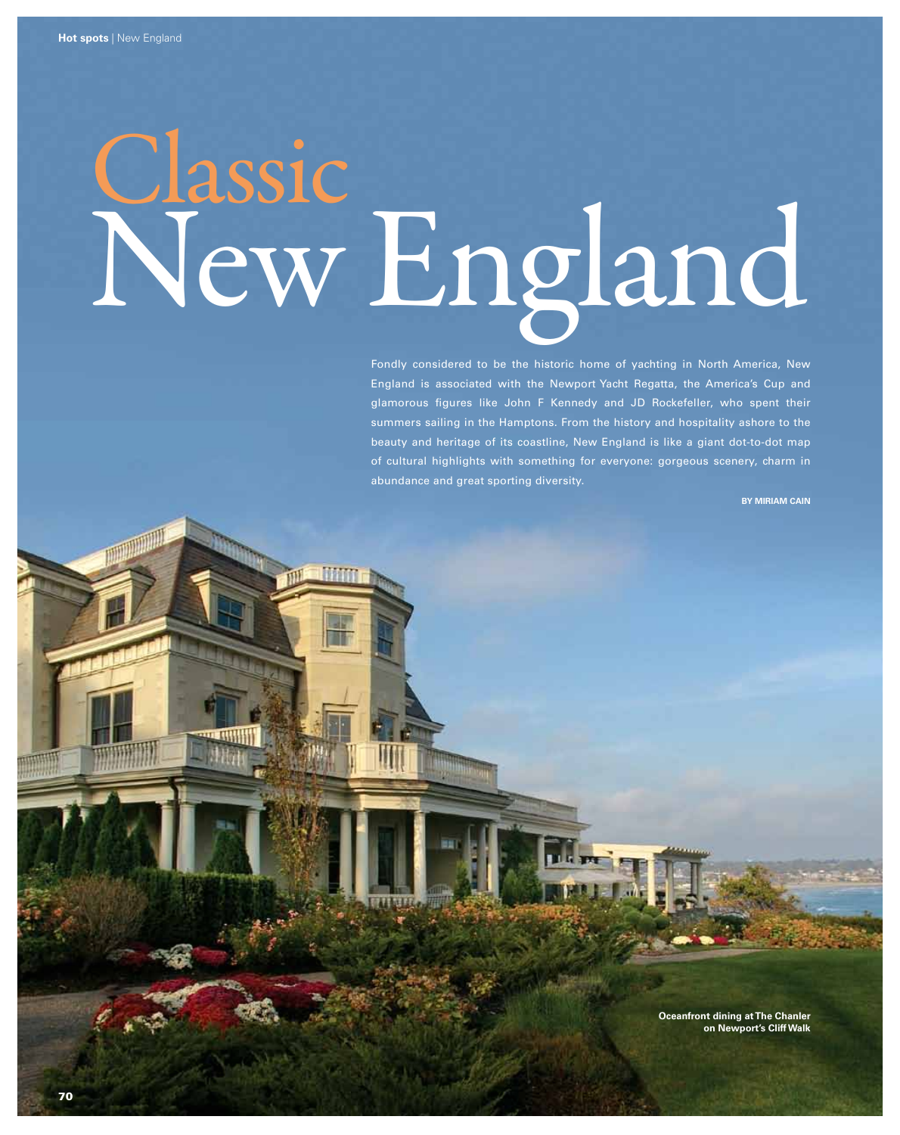# Classic New England

Fondly considered to be the historic home of yachting in North America, New England is associated with the Newport Yacht Regatta, the America's Cup and glamorous figures like John F Kennedy and JD Rockefeller, who spent their summers sailing in the Hamptons. From the history and hospitality ashore to the beauty and heritage of its coastline, New England is like a giant dot-to-dot map of cultural highlights with something for everyone: gorgeous scenery, charm in abundance and great sporting diversity.

**BY MIRIAM CAIN** 

**Oceanfront dining at The Chanler on Newport's Cliff Walk**

**THE GULLES**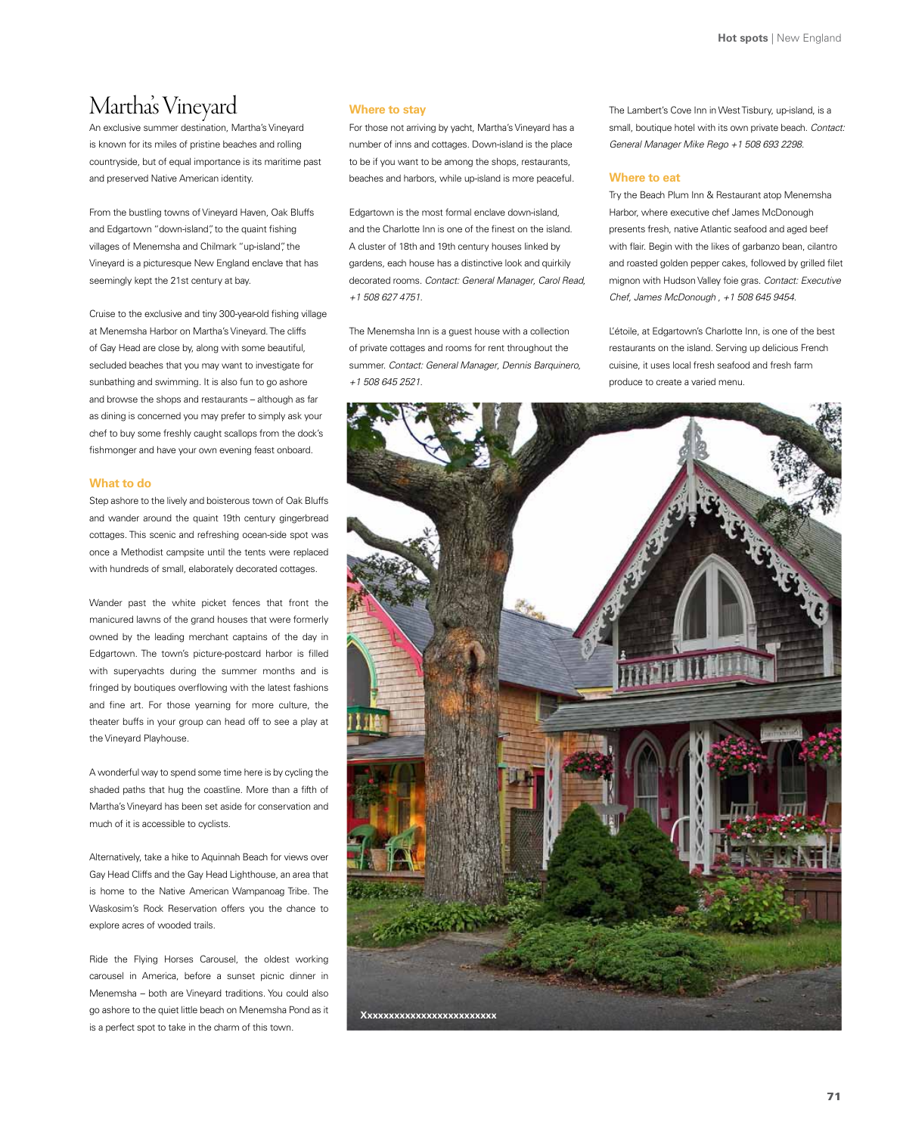# Martha's Vineyard

An exclusive summer destination, Martha's Vineyard is known for its miles of pristine beaches and rolling countryside, but of equal importance is its maritime past and preserved Native American identity.

From the bustling towns of Vineyard Haven, Oak Bluffs and Edgartown "down-island", to the quaint fishing villages of Menemsha and Chilmark "up-island", the Vineyard is a picturesque New England enclave that has seemingly kept the 21st century at bay.

Cruise to the exclusive and tiny 300-year-old fishing village at Menemsha Harbor on Martha's Vineyard. The cliffs of Gay Head are close by, along with some beautiful, secluded beaches that you may want to investigate for sunbathing and swimming. It is also fun to go ashore and browse the shops and restaurants – although as far as dining is concerned you may prefer to simply ask your chef to buy some freshly caught scallops from the dock's fishmonger and have your own evening feast onboard.

#### **What to do**

Step ashore to the lively and boisterous town of Oak Bluffs and wander around the quaint 19th century gingerbread cottages. This scenic and refreshing ocean-side spot was once a Methodist campsite until the tents were replaced with hundreds of small, elaborately decorated cottages.

Wander past the white picket fences that front the manicured lawns of the grand houses that were formerly owned by the leading merchant captains of the day in Edgartown. The town's picture-postcard harbor is filled with superyachts during the summer months and is fringed by boutiques overflowing with the latest fashions and fine art. For those yearning for more culture, the theater buffs in your group can head off to see a play at the Vineyard Playhouse.

A wonderful way to spend some time here is by cycling the shaded paths that hug the coastline. More than a fifth of Martha's Vineyard has been set aside for conservation and much of it is accessible to cyclists.

Alternatively, take a hike to Aquinnah Beach for views over Gay Head Cliffs and the Gay Head Lighthouse, an area that is home to the Native American Wampanoag Tribe. The Waskosim's Rock Reservation offers you the chance to explore acres of wooded trails.

Ride the Flying Horses Carousel, the oldest working carousel in America, before a sunset picnic dinner in Menemsha – both are Vineyard traditions. You could also go ashore to the quiet little beach on Menemsha Pond as it is a perfect spot to take in the charm of this town.

# **Where to stay**

For those not arriving by yacht, Martha's Vineyard has a number of inns and cottages. Down-island is the place to be if you want to be among the shops, restaurants, beaches and harbors, while up-island is more peaceful.

Edgartown is the most formal enclave down-island, and the Charlotte Inn is one of the finest on the island. A cluster of 18th and 19th century houses linked by gardens, each house has a distinctive look and quirkily decorated rooms. *Contact: General Manager, Carol Read, +1 508 627 4751.*

The Menemsha Inn is a guest house with a collection of private cottages and rooms for rent throughout the summer. *Contact: General Manager, Dennis Barquinero, +1 508 645 2521.*

The Lambert's Cove Inn in West Tisbury, up-island, is a small, boutique hotel with its own private beach. *Contact: General Manager Mike Rego +1 508 693 2298.*

## **Where to eat**

Try the Beach Plum Inn & Restaurant atop Menemsha Harbor, where executive chef James McDonough presents fresh, native Atlantic seafood and aged beef with flair. Begin with the likes of garbanzo bean, cilantro and roasted golden pepper cakes, followed by grilled filet mignon with Hudson Valley foie gras. *Contact: Executive Chef, James McDonough , +1 508 645 9454.*

L'étoile, at Edgartown's Charlotte Inn, is one of the best restaurants on the island. Serving up delicious French cuisine, it uses local fresh seafood and fresh farm produce to create a varied menu.

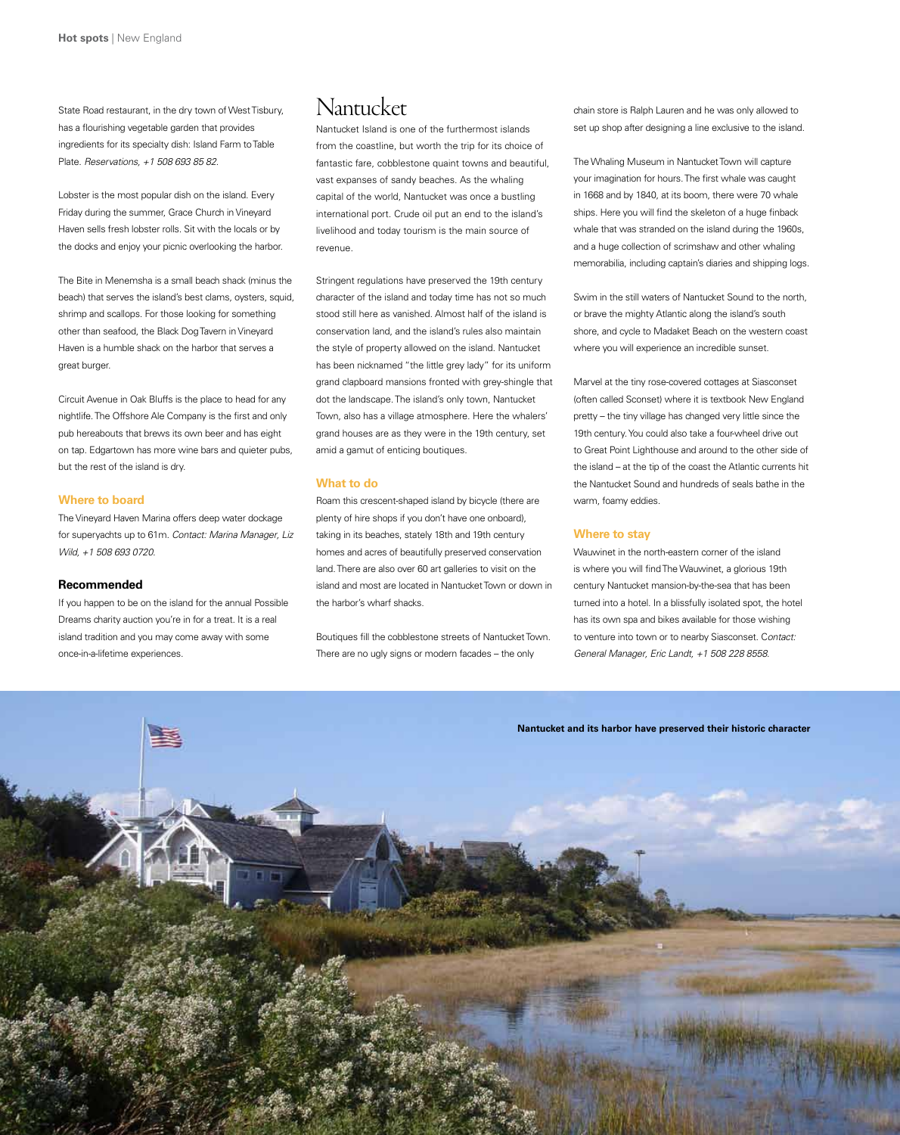State Road restaurant, in the dry town of West Tisbury, has a flourishing vegetable garden that provides ingredients for its specialty dish: Island Farm to Table Plate. *Reservations, +1 508 693 85 82.*

Lobster is the most popular dish on the island. Every Friday during the summer, Grace Church in Vineyard Haven sells fresh lobster rolls. Sit with the locals or by the docks and enjoy your picnic overlooking the harbor.

The Bite in Menemsha is a small beach shack (minus the beach) that serves the island's best clams, oysters, squid, shrimp and scallops. For those looking for something other than seafood, the Black Dog Tavern in Vineyard Haven is a humble shack on the harbor that serves a great burger.

Circuit Avenue in Oak Bluffs is the place to head for any nightlife. The Offshore Ale Company is the first and only pub hereabouts that brews its own beer and has eight on tap. Edgartown has more wine bars and quieter pubs, but the rest of the island is dry.

# **Where to board**

The Vineyard Haven Marina offers deep water dockage for superyachts up to 61m. *Contact: Marina Manager, Liz Wild, +1 508 693 0720.* 

## **Recommended**

If you happen to be on the island for the annual Possible Dreams charity auction you're in for a treat. It is a real island tradition and you may come away with some once-in-a-lifetime experiences.

# Nantucket

Nantucket Island is one of the furthermost islands from the coastline, but worth the trip for its choice of fantastic fare, cobblestone quaint towns and beautiful, vast expanses of sandy beaches. As the whaling capital of the world, Nantucket was once a bustling international port. Crude oil put an end to the island's livelihood and today tourism is the main source of revenue.

Stringent regulations have preserved the 19th century character of the island and today time has not so much stood still here as vanished. Almost half of the island is conservation land, and the island's rules also maintain the style of property allowed on the island. Nantucket has been nicknamed "the little grey lady" for its uniform grand clapboard mansions fronted with grey-shingle that dot the landscape. The island's only town, Nantucket Town, also has a village atmosphere. Here the whalers' grand houses are as they were in the 19th century, set amid a gamut of enticing boutiques.

#### **What to do**

Roam this crescent-shaped island by bicycle (there are plenty of hire shops if you don't have one onboard), taking in its beaches, stately 18th and 19th century homes and acres of beautifully preserved conservation land. There are also over 60 art galleries to visit on the island and most are located in Nantucket Town or down in the harbor's wharf shacks.

Boutiques fill the cobblestone streets of Nantucket Town. There are no ugly signs or modern facades – the only

chain store is Ralph Lauren and he was only allowed to set up shop after designing a line exclusive to the island.

The Whaling Museum in Nantucket Town will capture your imagination for hours. The first whale was caught in 1668 and by 1840, at its boom, there were 70 whale ships. Here you will find the skeleton of a huge finback whale that was stranded on the island during the 1960s, and a huge collection of scrimshaw and other whaling memorabilia, including captain's diaries and shipping logs.

Swim in the still waters of Nantucket Sound to the north, or brave the mighty Atlantic along the island's south shore, and cycle to Madaket Beach on the western coast where you will experience an incredible sunset.

Marvel at the tiny rose-covered cottages at Siasconset (often called Sconset) where it is textbook New England pretty – the tiny village has changed very little since the 19th century. You could also take a four-wheel drive out to Great Point Lighthouse and around to the other side of the island – at the tip of the coast the Atlantic currents hit the Nantucket Sound and hundreds of seals bathe in the warm, foamy eddies.

## **Where to stay**

Wauwinet in the north-eastern corner of the island is where you will find The Wauwinet, a glorious 19th century Nantucket mansion-by-the-sea that has been turned into a hotel. In a blissfully isolated spot, the hotel has its own spa and bikes available for those wishing to venture into town or to nearby Siasconset. C*ontact: General Manager, Eric Landt, +1 508 228 8558*.

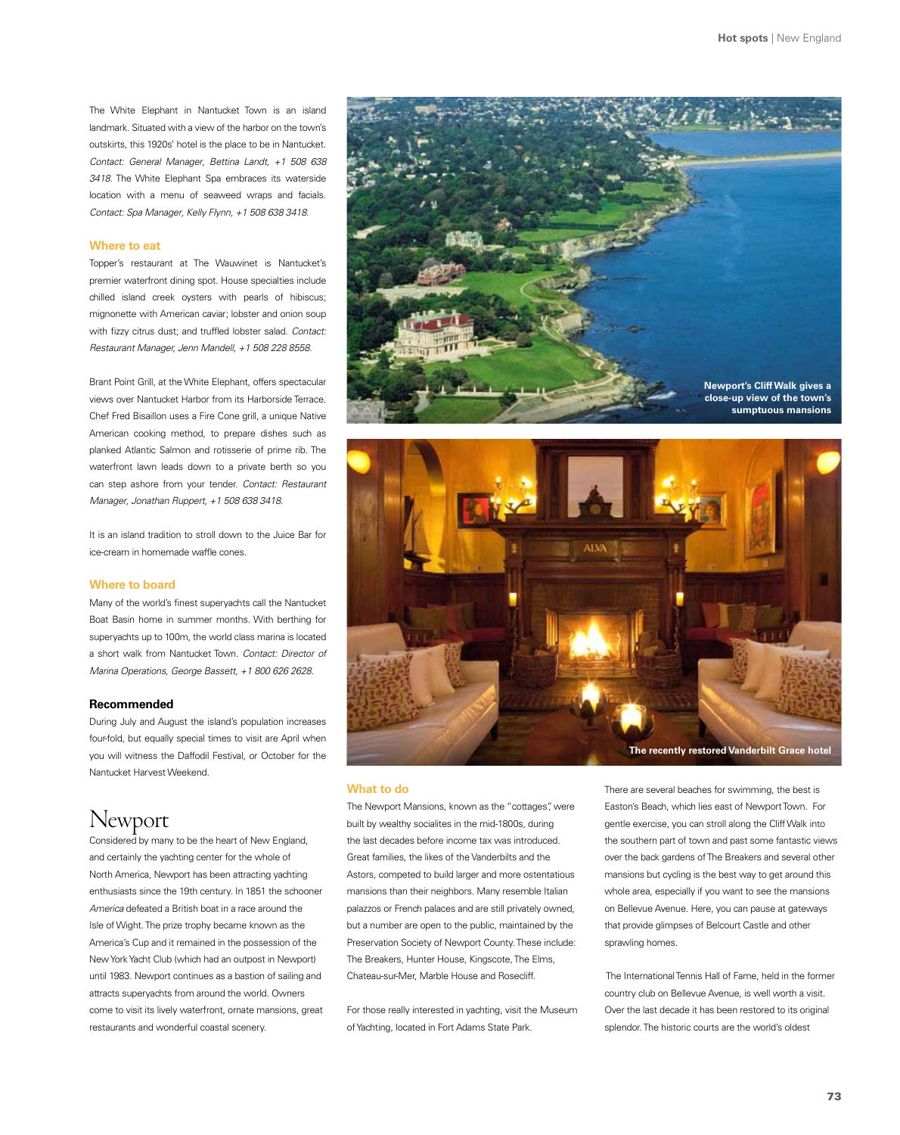The White Elephant in Nantucket Town is an island landmark. Situated with a view of the harbor on the town's outskirts, this 1920s' hotel is the place to be in Nantucket. *Contact: General Manager, Bettina Landt, +1 508 638 3418*. The White Elephant Spa embraces its waterside location with a menu of seaweed wraps and facials. *Contact: Spa Manager, Kelly Flynn, +1 508 638 3418.* 

#### **Where to eat**

Topper's restaurant at The Wauwinet is Nantucket's premier waterfront dining spot. House specialties include chilled island creek oysters with pearls of hibiscus; mignonette with American caviar; lobster and onion soup with fizzy citrus dust; and truffled lobster salad. *Contact: Restaurant Manager, Jenn Mandell, +1 508 228 8558.*

Brant Point Grill, at the White Elephant, offers spectacular views over Nantucket Harbor from its Harborside Terrace. Chef Fred Bisaillon uses a Fire Cone grill, a unique Native American cooking method, to prepare dishes such as planked Atlantic Salmon and rotisserie of prime rib. The waterfront lawn leads down to a private berth so you can step ashore from your tender. *Contact: Restaurant Manager, Jonathan Ruppert, +1 508 638 3418.* 

It is an island tradition to stroll down to the Juice Bar for ice-cream in homemade waffle cones.

#### **Where to board**

Many of the world's finest superyachts call the Nantucket Boat Basin home in summer months. With berthing for superyachts up to 100m, the world class marina is located a short walk from Nantucket Town. *Contact: Director of Marina Operations, George Bassett, +1 800 626 2628.* 

#### **Recommended**

During July and August the island's population increases four-fold, but equally special times to visit are April when you will witness the Daffodil Festival, or October for the Nantucket Harvest Weekend.

# Newport

Considered by many to be the heart of New England, and certainly the yachting center for the whole of North America, Newport has been attracting yachting enthusiasts since the 19th century. In 1851 the schooner *America* defeated a British boat in a race around the Isle of Wight. The prize trophy became known as the America's Cup and it remained in the possession of the New York Yacht Club (which had an outpost in Newport) until 1983. Newport continues as a bastion of sailing and attracts superyachts from around the world. Owners come to visit its lively waterfront, ornate mansions, great restaurants and wonderful coastal scenery.





#### **What to do**

The Newport Mansions, known as the "cottages", were built by wealthy socialites in the mid-1800s, during the last decades before income tax was introduced. Great families, the likes of the Vanderbilts and the Astors, competed to build larger and more ostentatious mansions than their neighbors. Many resemble Italian palazzos or French palaces and are still privately owned, but a number are open to the public, maintained by the Preservation Society of Newport County. These include: The Breakers, Hunter House, Kingscote, The Elms, Chateau-sur-Mer, Marble House and Rosecliff.

For those really interested in yachting, visit the Museum of Yachting, located in Fort Adams State Park.

There are several beaches for swimming, the best is Easton's Beach, which lies east of Newport Town. For gentle exercise, you can stroll along the Cliff Walk into the southern part of town and past some fantastic views over the back gardens of The Breakers and several other mansions but cycling is the best way to get around this whole area, especially if you want to see the mansions on Bellevue Avenue. Here, you can pause at gateways that provide glimpses of Belcourt Castle and other sprawling homes.

 The International Tennis Hall of Fame, held in the former country club on Bellevue Avenue, is well worth a visit. Over the last decade it has been restored to its original splendor. The historic courts are the world's oldest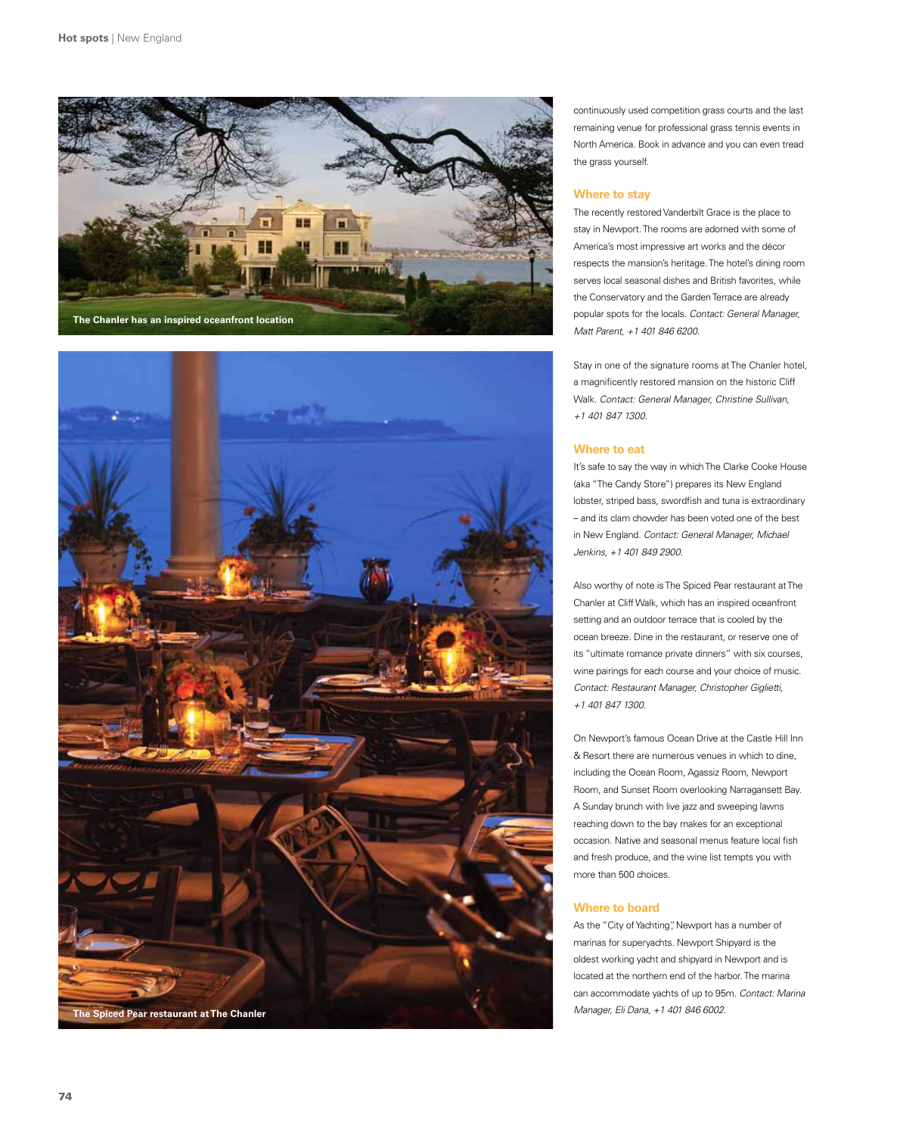



continuously used competition grass courts and the last remaining venue for professional grass tennis events in North America. Book in advance and you can even tread the grass yourself.

# **Where to stay**

The recently restored Vanderbilt Grace is the place to stay in Newport. The rooms are adorned with some of America's most impressive art works and the décor respects the mansion's heritage. The hotel's dining room serves local seasonal dishes and British favorites, while the Conservatory and the Garden Terrace are already popular spots for the locals. *Contact: General Manager, Matt Parent, +1 401 846 6200.*

Stay in one of the signature rooms at The Chanler hotel, a magnificently restored mansion on the historic Cliff Walk. *Contact: General Manager, Christine Sullivan, +1 401 847 1300.* 

#### **Where to eat**

It's safe to say the way in which The Clarke Cooke House (aka "The Candy Store") prepares its New England lobster, striped bass, swordfish and tuna is extraordinary – and its clam chowder has been voted one of the best in New England. *Contact: General Manager, Michael Jenkins, +1 401 849 2900.*

Also worthy of note is The Spiced Pear restaurant at The Chanler at Cliff Walk, which has an inspired oceanfront setting and an outdoor terrace that is cooled by the ocean breeze. Dine in the restaurant, or reserve one of its "ultimate romance private dinners" with six courses, wine pairings for each course and your choice of music. *Contact: Restaurant Manager, Christopher Giglietti, +1 401 847 1300.* 

On Newport's famous Ocean Drive at the Castle Hill Inn & Resort there are numerous venues in which to dine, including the Ocean Room, Agassiz Room, Newport Room, and Sunset Room overlooking Narragansett Bay. A Sunday brunch with live jazz and sweeping lawns reaching down to the bay makes for an exceptional occasion. Native and seasonal menus feature local fish and fresh produce, and the wine list tempts you with more than 500 choices.

## **Where to board**

As the "City of Yachting", Newport has a number of marinas for superyachts. Newport Shipyard is the oldest working yacht and shipyard in Newport and is located at the northern end of the harbor. The marina can accommodate yachts of up to 95m. *Contact: Marina*